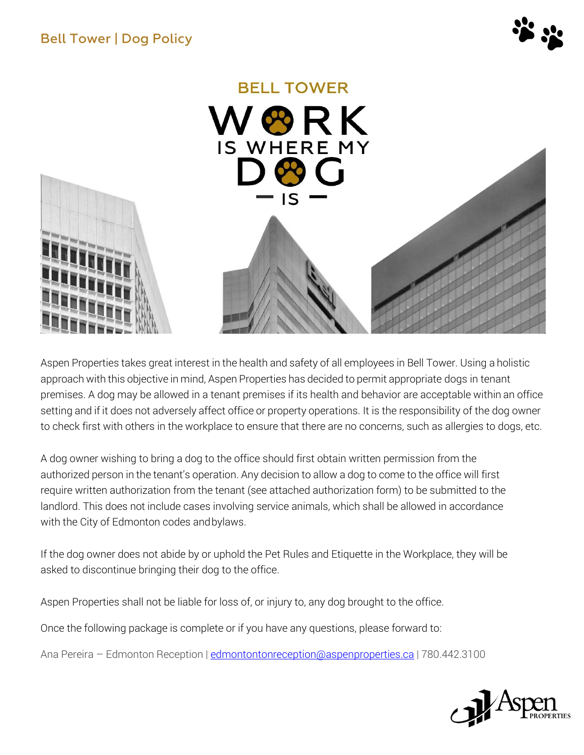



Aspen Properties takes great interest in the health and safety of all employees in Bell Tower. Using a holistic approach with this objective in mind, Aspen Properties has decided to permit appropriate dogs in tenant premises. A dog may be allowed in a tenant premises if its health and behavior are acceptable within an office setting and if it does not adversely affect office or property operations. It is the responsibility of the dog owner to check first with others in the workplace to ensure that there are no concerns, such as allergies to dogs, etc.

A dog owner wishing to bring a dog to the office should first obtain written permission from the authorized person in the tenant's operation. Any decision to allow a dog to come to the office will first require written authorization from the tenant (see attached authorization form) to be submitted to the landlord. This does not include cases involving service animals, which shall be allowed in accordance with the City of Edmonton codes andbylaws.

If the dog owner does not abide by or uphold the Pet Rules and Etiquette in the Workplace, they will be asked to discontinue bringing their dog to the office.

Aspen Properties shall not be liable for loss of, or injury to, any dog brought to the office.

Once the following package is complete or if you have any questions, please forward to:

Ana Pereira – Edmonton Reception [| edmontontonreception@aspenproperties.ca](mailto:edmontontonreception@aspenproperties.ca) | 780.442.3100

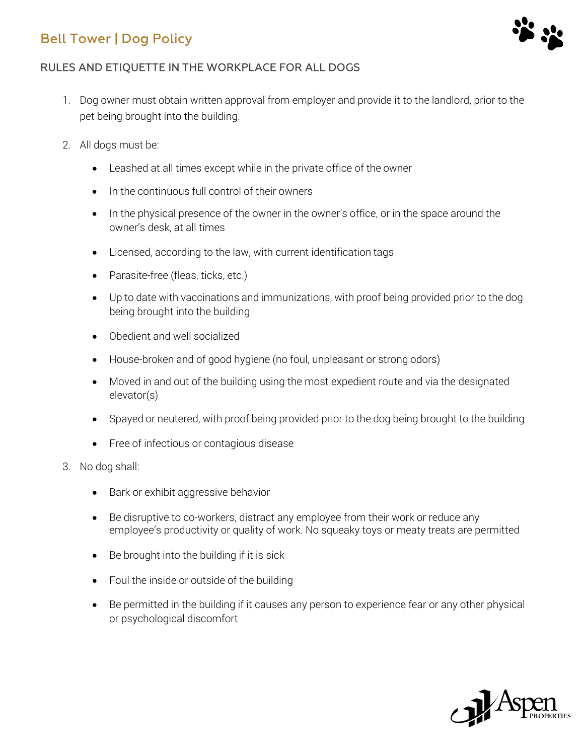

#### RULES AND ETIQUETTE IN THE WORKPLACE FOR ALL DOGS

- 1. Dog owner must obtain written approval from employer and provide it to the landlord, prior to the pet being brought into the building.
- 2. All dogs must be:
	- Leashed at all times except while in the private office of the owner
	- In the continuous full control of their owners
	- In the physical presence of the owner in the owner's office, or in the space around the owner's desk, at all times
	- Licensed, according to the law, with current identification tags
	- Parasite-free (fleas, ticks, etc.)
	- Up to date with vaccinations and immunizations, with proof being provided prior to the dog being brought into the building
	- Obedient and well socialized
	- House-broken and of good hygiene (no foul, unpleasant or strong odors)
	- Moved in and out of the building using the most expedient route and via the designated elevator(s)
	- Spayed or neutered, with proof being provided prior to the dog being brought to the building
	- Free of infectious or contagious disease
- 3. No dog shall:
	- Bark or exhibit aggressive behavior
	- Be disruptive to co-workers, distract any employee from their work or reduce any employee's productivity or quality of work. No squeaky toys or meaty treats are permitted
	- Be brought into the building if it is sick
	- Foul the inside or outside of the building
	- Be permitted in the building if it causes any person to experience fear or any other physical or psychological discomfort

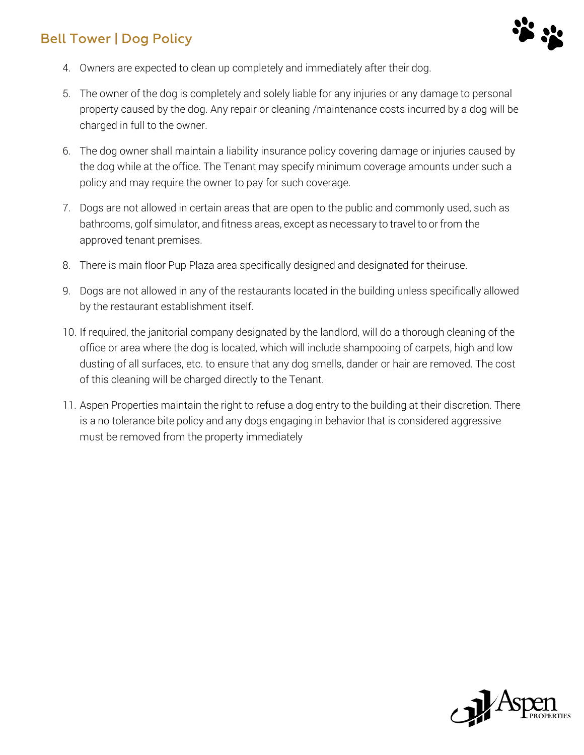

- 4. Owners are expected to clean up completely and immediately after their dog.
- 5. The owner of the dog is completely and solely liable for any injuries or any damage to personal property caused by the dog. Any repair or cleaning /maintenance costs incurred by a dog will be charged in full to the owner.
- 6. The dog owner shall maintain a liability insurance policy covering damage or injuries caused by the dog while at the office. The Tenant may specify minimum coverage amounts under such a policy and may require the owner to pay for such coverage.
- 7. Dogs are not allowed in certain areas that are open to the public and commonly used, such as bathrooms, golf simulator, and fitness areas, except as necessary to travel to or from the approved tenant premises.
- 8. There is main floor Pup Plaza area specifically designed and designated for theiruse.
- 9. Dogs are not allowed in any of the restaurants located in the building unless specifically allowed by the restaurant establishment itself.
- 10. If required, the janitorial company designated by the landlord, will do a thorough cleaning of the office or area where the dog is located, which will include shampooing of carpets, high and low dusting of all surfaces, etc. to ensure that any dog smells, dander or hair are removed. The cost of this cleaning will be charged directly to the Tenant.
- 11. Aspen Properties maintain the right to refuse a dog entry to the building at their discretion. There is a no tolerance bite policy and any dogs engaging in behavior that is considered aggressive must be removed from the property immediately

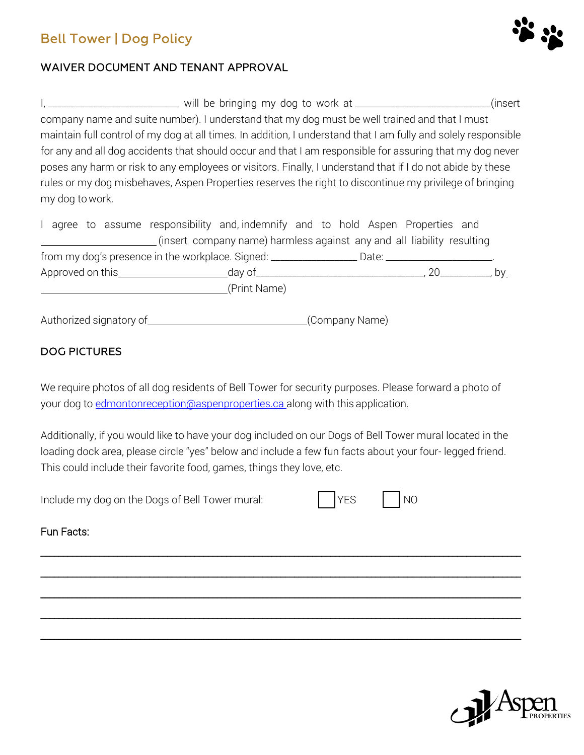

#### **WAIVER DOCUMENT AND TENANT APPROVAL**

I, \_\_\_\_\_\_\_\_\_\_\_\_\_\_\_\_\_\_\_\_\_\_\_\_\_\_\_\_\_\_\_\_ will be bringing my dog to work at \_\_\_\_\_\_\_\_\_\_\_\_\_\_\_\_\_\_\_\_\_\_\_\_\_\_\_\_\_(insert company name and suite number). I understand that my dog must be well trained and that I must maintain full control of my dog at all times. In addition, I understand that I am fully and solely responsible for any and all dog accidents that should occur and that I am responsible for assuring that my dog never poses any harm or risk to any employees or visitors. Finally, I understand that if I do not abide by these rules or my dog misbehaves, Aspen Properties reserves the right to discontinue my privilege of bringing my dog to work.

|  |  |                                          | I agree to assume responsibility and, indemnify and to hold Aspen Properties and                    |  |  |       |    |
|--|--|------------------------------------------|-----------------------------------------------------------------------------------------------------|--|--|-------|----|
|  |  |                                          | (insert company name) harmless against any and all liability resulting                              |  |  |       |    |
|  |  |                                          | from my dog's presence in the workplace. Signed: ___________________Date: _________________________ |  |  |       |    |
|  |  | Approved on this <b>Approved</b> on this | __day of___________                                                                                 |  |  | $-20$ | bv |
|  |  |                                          | (Print Name)                                                                                        |  |  |       |    |

Authorized signatory of (Company Name)

#### **DOG PICTURES**

We require photos of all dog residents of Bell Tower for security purposes. Please forward a photo of your dog to [edmontonreception@aspenproperties.ca a](mailto:edmontonreception@aspenproperties.ca)long with this application.

Additionally, if you would like to have your dog included on our Dogs of Bell Tower mural located in the loading dock area, please circle "yes" below and include a few fun facts about your four- legged friend. This could include their favorite food, games, things they love, etc.

\_\_\_\_\_\_\_\_\_\_\_\_\_\_\_\_\_\_\_\_\_\_\_\_\_\_\_\_\_\_\_\_\_\_\_\_\_\_\_\_\_\_\_\_\_\_\_\_\_\_\_\_\_\_\_\_\_\_\_\_\_\_\_\_\_\_\_\_\_\_\_\_\_\_\_\_\_\_\_\_\_\_\_\_\_\_\_\_\_\_\_\_\_\_\_\_\_\_\_\_\_\_\_\_\_\_

\_\_\_\_\_\_\_\_\_\_\_\_\_\_\_\_\_\_\_\_\_\_\_\_\_\_\_\_\_\_\_\_\_\_\_\_\_\_\_\_\_\_\_\_\_\_\_\_\_\_\_\_\_\_\_\_\_\_\_\_\_\_\_\_\_\_\_\_\_\_\_\_\_\_\_\_\_\_\_\_\_\_\_\_\_\_\_\_\_\_\_\_\_\_\_\_\_\_\_\_\_\_\_\_\_\_

\_\_\_\_\_\_\_\_\_\_\_\_\_\_\_\_\_\_\_\_\_\_\_\_\_\_\_\_\_\_\_\_\_\_\_\_\_\_\_\_\_\_\_\_\_\_\_\_\_\_\_\_\_\_\_\_\_\_\_\_\_\_\_\_\_\_\_\_\_\_\_\_\_\_\_\_\_\_\_\_\_\_\_\_\_\_\_\_\_\_\_\_\_\_\_\_\_\_\_\_\_\_\_\_\_\_

\_\_\_\_\_\_\_\_\_\_\_\_\_\_\_\_\_\_\_\_\_\_\_\_\_\_\_\_\_\_\_\_\_\_\_\_\_\_\_\_\_\_\_\_\_\_\_\_\_\_\_\_\_\_\_\_\_\_\_\_\_\_\_\_\_\_\_\_\_\_\_\_\_\_\_\_\_\_\_\_\_\_\_\_\_\_\_\_\_\_\_\_\_\_\_\_\_\_\_\_\_\_\_\_\_\_

\_\_\_\_\_\_\_\_\_\_\_\_\_\_\_\_\_\_\_\_\_\_\_\_\_\_\_\_\_\_\_\_\_\_\_\_\_\_\_\_\_\_\_\_\_\_\_\_\_\_\_\_\_\_\_\_\_\_\_\_\_\_\_\_\_\_\_\_\_\_\_\_\_\_\_\_\_\_\_\_\_\_\_\_\_\_\_\_\_\_\_\_\_\_\_\_\_\_\_\_\_\_\_\_\_\_

Include my dog on the Dogs of Bell Tower mural: YES NO

#### Fun Facts: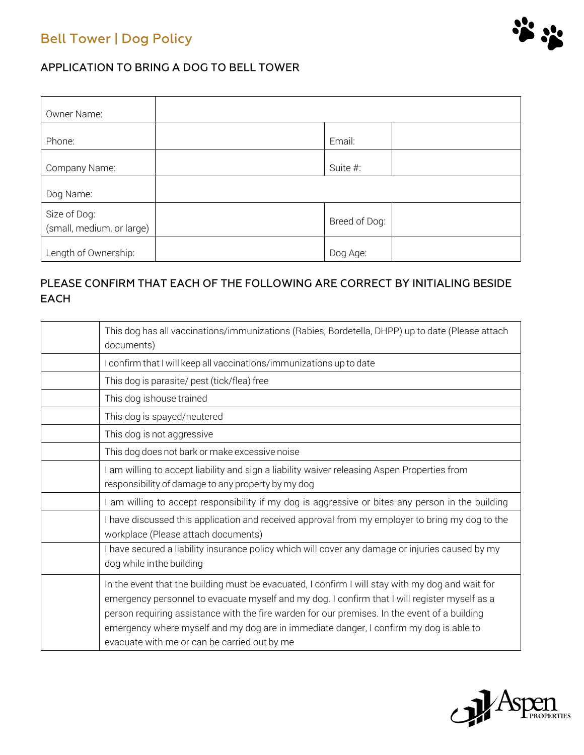

#### APPLICATION TO BRING A DOG TO BELL TOWER

| Owner Name:                               |               |  |
|-------------------------------------------|---------------|--|
| Phone:                                    | Email:        |  |
| Company Name:                             | Suite #:      |  |
| Dog Name:                                 |               |  |
| Size of Dog:<br>(small, medium, or large) | Breed of Dog: |  |
| Length of Ownership:                      | Dog Age:      |  |

### PLEASE CONFIRM THAT EACH OF THE FOLLOWING ARE CORRECT BY INITIALING BESIDE **EACH**

| This dog has all vaccinations/immunizations (Rabies, Bordetella, DHPP) up to date (Please attach<br>documents)                                                                                                                                                                                                                                                                                                                               |
|----------------------------------------------------------------------------------------------------------------------------------------------------------------------------------------------------------------------------------------------------------------------------------------------------------------------------------------------------------------------------------------------------------------------------------------------|
| I confirm that I will keep all vaccinations/immunizations up to date                                                                                                                                                                                                                                                                                                                                                                         |
| This dog is parasite/ pest (tick/flea) free                                                                                                                                                                                                                                                                                                                                                                                                  |
| This dog ishouse trained                                                                                                                                                                                                                                                                                                                                                                                                                     |
| This dog is spayed/neutered                                                                                                                                                                                                                                                                                                                                                                                                                  |
| This dog is not aggressive                                                                                                                                                                                                                                                                                                                                                                                                                   |
| This dog does not bark or make excessive noise                                                                                                                                                                                                                                                                                                                                                                                               |
| I am willing to accept liability and sign a liability waiver releasing Aspen Properties from<br>responsibility of damage to any property by my dog                                                                                                                                                                                                                                                                                           |
| I am willing to accept responsibility if my dog is aggressive or bites any person in the building                                                                                                                                                                                                                                                                                                                                            |
| I have discussed this application and received approval from my employer to bring my dog to the<br>workplace (Please attach documents)                                                                                                                                                                                                                                                                                                       |
| I have secured a liability insurance policy which will cover any damage or injuries caused by my<br>dog while inthe building                                                                                                                                                                                                                                                                                                                 |
| In the event that the building must be evacuated, I confirm I will stay with my dog and wait for<br>emergency personnel to evacuate myself and my dog. I confirm that I will register myself as a<br>person requiring assistance with the fire warden for our premises. In the event of a building<br>emergency where myself and my dog are in immediate danger, I confirm my dog is able to<br>evacuate with me or can be carried out by me |